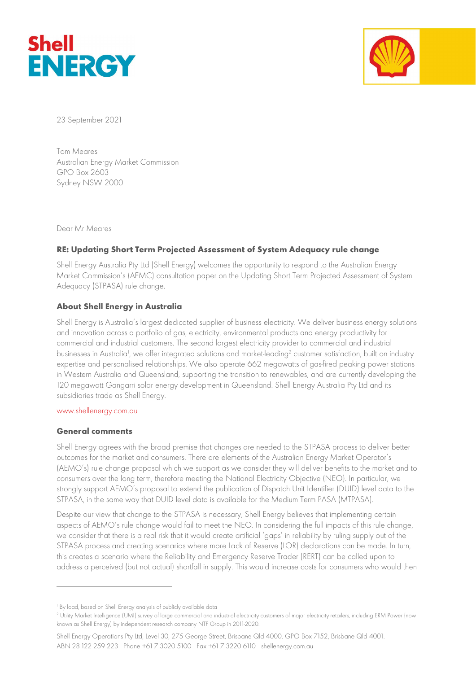



23 September 2021

Tom Meares Australian Energy Market Commission GPO Box 2603 Sydney NSW 2000

Dear Mr Meares

# RE: Updating Short Term Projected Assessment of System Adequacy rule change

Shell Energy Australia Pty Ltd (Shell Energy) welcomes the opportunity to respond to the Australian Energy Market Commission's (AEMC) consultation paper on the Updating Short Term Projected Assessment of System Adequacy (STPASA) rule change.

# About Shell Energy in Australia

Shell Energy is Australia's largest dedicated supplier of business electricity. We deliver business energy solutions and innovation across a portfolio of gas, electricity, environmental products and energy productivity for commercial and industrial customers. The second largest electricity provider to commercial and industrial businesses in Australia<sup>1</sup>, we offer integrated solutions and market-leading<sup>2</sup> customer satisfaction, built on industry expertise and personalised relationships. We also operate 662 megawatts of gas-fired peaking power stations in Western Australia and Queensland, supporting the transition to renewables, and are currently developing the 120 megawatt Gangarri solar energy development in Queensland. Shell Energy Australia Pty Ltd and its subsidiaries trade as Shell Energy.

#### www.shellenergy.com.au

#### General comments

Shell Energy agrees with the broad premise that changes are needed to the STPASA process to deliver better outcomes for the market and consumers. There are elements of the Australian Energy Market Operator's (AEMO's) rule change proposal which we support as we consider they will deliver benefits to the market and to consumers over the long term, therefore meeting the National Electricity Objective (NEO). In particular, we strongly support AEMO's proposal to extend the publication of Dispatch Unit Identifier (DUID) level data to the STPASA, in the same way that DUID level data is available for the Medium Term PASA (MTPASA).

Despite our view that change to the STPASA is necessary, Shell Energy believes that implementing certain aspects of AEMO's rule change would fail to meet the NEO. In considering the full impacts of this rule change, we consider that there is a real risk that it would create artificial 'gaps' in reliability by ruling supply out of the STPASA process and creating scenarios where more Lack of Reserve (LOR) declarations can be made. In turn, this creates a scenario where the Reliability and Emergency Reserve Trader (RERT) can be called upon to address a perceived (but not actual) shortfall in supply. This would increase costs for consumers who would then

Shell Energy Operations Pty Ltd, Level 30, 275 George Street, Brisbane Qld 4000. GPO Box 7152, Brisbane Qld 4001. ABN 28 122 259 223 Phone +61 7 3020 5100 Fax +61 7 3220 6110 shellenergy.com.au

<sup>1</sup> By load, based on Shell Energy analysis of publicly available data

<sup>2</sup> Utility Market Intelligence (UMI) survey of large commercial and industrial electricity customers of major electricity retailers, including ERM Power (now known as Shell Energy) by independent research company NTF Group in 2011-2020.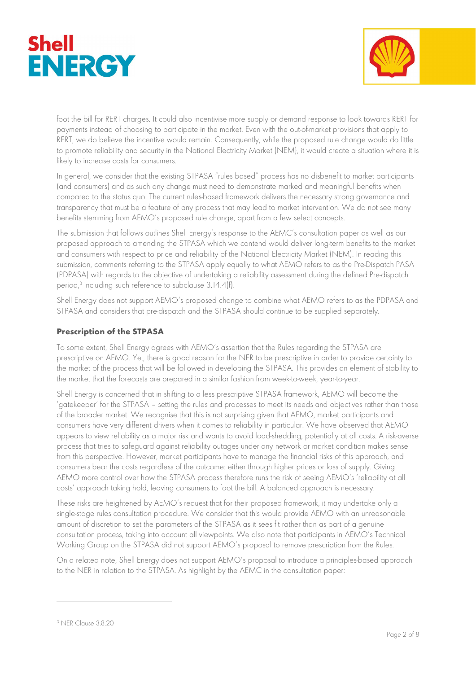



foot the bill for RERT charges. It could also incentivise more supply or demand response to look towards RERT for payments instead of choosing to participate in the market. Even with the out-of-market provisions that apply to RERT, we do believe the incentive would remain. Consequently, while the proposed rule change would do little to promote reliability and security in the National Electricity Market (NEM), it would create a situation where it is likely to increase costs for consumers.

In general, we consider that the existing STPASA "rules based" process has no disbenefit to market participants (and consumers) and as such any change must need to demonstrate marked and meaningful benefits when compared to the status quo. The current rules-based framework delivers the necessary strong governance and transparency that must be a feature of any process that may lead to market intervention. We do not see many benefits stemming from AEMO's proposed rule change, apart from a few select concepts.

The submission that follows outlines Shell Energy's response to the AEMC's consultation paper as well as our proposed approach to amending the STPASA which we contend would deliver long-term benefits to the market and consumers with respect to price and reliability of the National Electricity Market (NEM). In reading this submission, comments referring to the STPASA apply equally to what AEMO refers to as the Pre-Dispatch PASA (PDPASA) with regards to the objective of undertaking a reliability assessment during the defined Pre-dispatch period,<sup>3</sup> including such reference to subclause 3.14.4(f).

Shell Energy does not support AEMO's proposed change to combine what AEMO refers to as the PDPASA and STPASA and considers that pre-dispatch and the STPASA should continue to be supplied separately.

# Prescription of the STPASA

To some extent, Shell Energy agrees with AEMO's assertion that the Rules regarding the STPASA are prescriptive on AEMO. Yet, there is good reason for the NER to be prescriptive in order to provide certainty to the market of the process that will be followed in developing the STPASA. This provides an element of stability to the market that the forecasts are prepared in a similar fashion from week-to-week, year-to-year.

Shell Energy is concerned that in shifting to a less prescriptive STPASA framework, AEMO will become the 'gatekeeper' for the STPASA – setting the rules and processes to meet its needs and objectives rather than those of the broader market. We recognise that this is not surprising given that AEMO, market participants and consumers have very different drivers when it comes to reliability in particular. We have observed that AEMO appears to view reliability as a major risk and wants to avoid load-shedding, potentially at all costs. A risk-averse process that tries to safeguard against reliability outages under any network or market condition makes sense from this perspective. However, market participants have to manage the financial risks of this approach, and consumers bear the costs regardless of the outcome: either through higher prices or loss of supply. Giving AEMO more control over how the STPASA process therefore runs the risk of seeing AEMO's 'reliability at all costs' approach taking hold, leaving consumers to foot the bill. A balanced approach is necessary.

These risks are heightened by AEMO's request that for their proposed framework, it may undertake only a single-stage rules consultation procedure. We consider that this would provide AEMO with an unreasonable amount of discretion to set the parameters of the STPASA as it sees fit rather than as part of a genuine consultation process, taking into account all viewpoints. We also note that participants in AEMO's Technical Working Group on the STPASA did not support AEMO's proposal to remove prescription from the Rules.

On a related note, Shell Energy does not support AEMO's proposal to introduce a principles-based approach to the NER in relation to the STPASA. As highlight by the AEMC in the consultation paper:

<sup>3</sup> NER Clause 3.8.20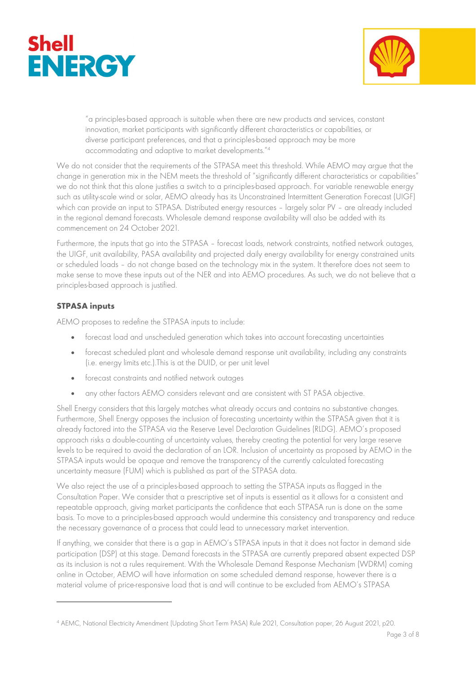



"a principles-based approach is suitable when there are new products and services, constant innovation, market participants with significantly different characteristics or capabilities, or diverse participant preferences, and that a principles-based approach may be more accommodating and adaptive to market developments."<sup>4</sup>

We do not consider that the requirements of the STPASA meet this threshold. While AEMO may argue that the change in generation mix in the NEM meets the threshold of "significantly different characteristics or capabilities" we do not think that this alone justifies a switch to a principles-based approach. For variable renewable energy such as utility-scale wind or solar, AEMO already has its Unconstrained Intermittent Generation Forecast (UIGF) which can provide an input to STPASA. Distributed energy resources – largely solar PV – are already included in the regional demand forecasts. Wholesale demand response availability will also be added with its commencement on 24 October 2021.

Furthermore, the inputs that go into the STPASA – forecast loads, network constraints, notified network outages, the UIGF, unit availability, PASA availability and projected daily energy availability for energy constrained units or scheduled loads – do not change based on the technology mix in the system. It therefore does not seem to make sense to move these inputs out of the NER and into AEMO procedures. As such, we do not believe that a principles-based approach is justified.

### STPASA inputs

AEMO proposes to redefine the STPASA inputs to include:

- forecast load and unscheduled generation which takes into account forecasting uncertainties
- forecast scheduled plant and wholesale demand response unit availability, including any constraints (i.e. energy limits etc.).This is at the DUID, or per unit level
- forecast constraints and notified network outages
- any other factors AEMO considers relevant and are consistent with ST PASA objective.

Shell Energy considers that this largely matches what already occurs and contains no substantive changes. Furthermore, Shell Energy opposes the inclusion of forecasting uncertainty within the STPASA given that it is already factored into the STPASA via the Reserve Level Declaration Guidelines (RLDG). AEMO's proposed approach risks a double-counting of uncertainty values, thereby creating the potential for very large reserve levels to be required to avoid the declaration of an LOR. Inclusion of uncertainty as proposed by AEMO in the STPASA inputs would be opaque and remove the transparency of the currently calculated forecasting uncertainty measure (FUM) which is published as part of the STPASA data.

We also reject the use of a principles-based approach to setting the STPASA inputs as flagged in the Consultation Paper. We consider that a prescriptive set of inputs is essential as it allows for a consistent and repeatable approach, giving market participants the confidence that each STPASA run is done on the same basis. To move to a principles-based approach would undermine this consistency and transparency and reduce the necessary governance of a process that could lead to unnecessary market intervention.

If anything, we consider that there is a gap in AEMO's STPASA inputs in that it does not factor in demand side participation (DSP) at this stage. Demand forecasts in the STPASA are currently prepared absent expected DSP as its inclusion is not a rules requirement. With the Wholesale Demand Response Mechanism (WDRM) coming online in October, AEMO will have information on some scheduled demand response, however there is a material volume of price-responsive load that is and will continue to be excluded from AEMO's STPASA

<sup>4</sup> AEMC, National Electricity Amendment (Updating Short Term PASA) Rule 2021, Consultation paper, 26 August 2021, p20.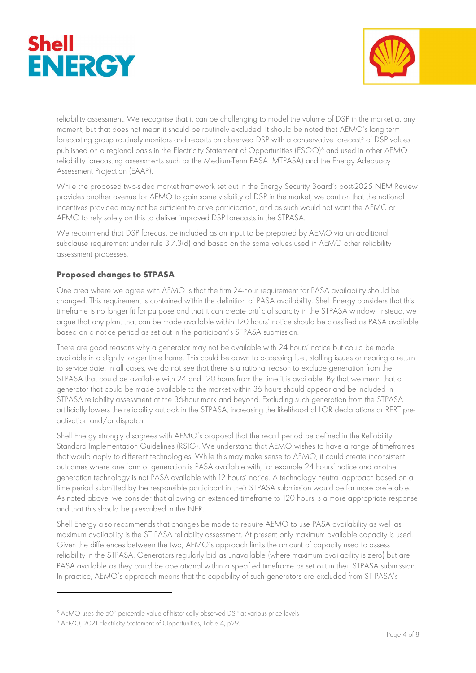



reliability assessment. We recognise that it can be challenging to model the volume of DSP in the market at any moment, but that does not mean it should be routinely excluded. It should be noted that AEMO's long term forecasting group routinely monitors and reports on observed DSP with a conservative forecast $^5$  of DSP values  $\,$ published on a regional basis in the Electricity Statement of Opportunities (ESOO)<sup>6</sup> and used in other AEMO reliability forecasting assessments such as the Medium-Term PASA (MTPASA) and the Energy Adequacy Assessment Projection (EAAP).

While the proposed two-sided market framework set out in the Energy Security Board's post-2025 NEM Review provides another avenue for AEMO to gain some visibility of DSP in the market, we caution that the notional incentives provided may not be sufficient to drive participation, and as such would not want the AEMC or AEMO to rely solely on this to deliver improved DSP forecasts in the STPASA.

We recommend that DSP forecast be included as an input to be prepared by AEMO via an additional subclause requirement under rule 3.7.3(d) and based on the same values used in AEMO other reliability assessment processes.

# Proposed changes to STPASA

One area where we agree with AEMO is that the firm 24-hour requirement for PASA availability should be changed. This requirement is contained within the definition of PASA availability. Shell Energy considers that this timeframe is no longer fit for purpose and that it can create artificial scarcity in the STPASA window. Instead, we argue that any plant that can be made available within 120 hours' notice should be classified as PASA available based on a notice period as set out in the participant's STPASA submission.

There are good reasons why a generator may not be available with 24 hours' notice but could be made available in a slightly longer time frame. This could be down to accessing fuel, staffing issues or nearing a return to service date. In all cases, we do not see that there is a rational reason to exclude generation from the STPASA that could be available with 24 and 120 hours from the time it is available. By that we mean that a generator that could be made available to the market within 36 hours should appear and be included in STPASA reliability assessment at the 36-hour mark and beyond. Excluding such generation from the STPASA artificially lowers the reliability outlook in the STPASA, increasing the likelihood of LOR declarations or RERT preactivation and/or dispatch.

Shell Energy strongly disagrees with AEMO's proposal that the recall period be defined in the Reliability Standard Implementation Guidelines (RSIG). We understand that AEMO wishes to have a range of timeframes that would apply to different technologies. While this may make sense to AEMO, it could create inconsistent outcomes where one form of generation is PASA available with, for example 24 hours' notice and another generation technology is not PASA available with 12 hours' notice. A technology neutral approach based on a time period submitted by the responsible participant in their STPASA submission would be far more preferable. As noted above, we consider that allowing an extended timeframe to 120 hours is a more appropriate response and that this should be prescribed in the NER.

Shell Energy also recommends that changes be made to require AEMO to use PASA availability as well as maximum availability is the ST PASA reliability assessment. At present only maximum available capacity is used. Given the differences between the two, AEMO's approach limits the amount of capacity used to assess reliability in the STPASA. Generators regularly bid as unavailable (where maximum availability is zero) but are PASA available as they could be operational within a specified timeframe as set out in their STPASA submission. In practice, AEMO's approach means that the capability of such generators are excluded from ST PASA's

<sup>&</sup>lt;sup>5</sup> AEMO uses the 50<sup>th</sup> percentile value of historically observed DSP at various price levels

<sup>6</sup> AEMO, 2021 Electricity Statement of Opportunities, Table 4, p29.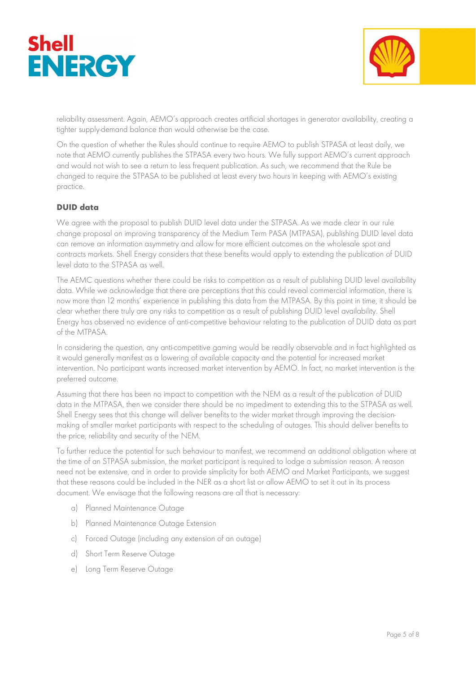



reliability assessment. Again, AEMO's approach creates artificial shortages in generator availability, creating a tighter supply-demand balance than would otherwise be the case.

On the question of whether the Rules should continue to require AEMO to publish STPASA at least daily, we note that AEMO currently publishes the STPASA every two hours. We fully support AEMO's current approach and would not wish to see a return to less frequent publication. As such, we recommend that the Rule be changed to require the STPASA to be published at least every two hours in keeping with AEMO's existing practice.

### DUID data

We agree with the proposal to publish DUID level data under the STPASA. As we made clear in our rule change proposal on improving transparency of the Medium Term PASA (MTPASA), publishing DUID level data can remove an information asymmetry and allow for more efficient outcomes on the wholesale spot and contracts markets. Shell Energy considers that these benefits would apply to extending the publication of DUID level data to the STPASA as well.

The AEMC questions whether there could be risks to competition as a result of publishing DUID level availability data. While we acknowledge that there are perceptions that this could reveal commercial information, there is now more than 12 months' experience in publishing this data from the MTPASA. By this point in time, it should be clear whether there truly are any risks to competition as a result of publishing DUID level availability. Shell Energy has observed no evidence of anti-competitive behaviour relating to the publication of DUID data as part of the MTPASA.

In considering the question, any anti-competitive gaming would be readily observable and in fact highlighted as it would generally manifest as a lowering of available capacity and the potential for increased market intervention. No participant wants increased market intervention by AEMO. In fact, no market intervention is the preferred outcome.

Assuming that there has been no impact to competition with the NEM as a result of the publication of DUID data in the MTPASA, then we consider there should be no impediment to extending this to the STPASA as well. Shell Energy sees that this change will deliver benefits to the wider market through improving the decisionmaking of smaller market participants with respect to the scheduling of outages. This should deliver benefits to the price, reliability and security of the NEM.

To further reduce the potential for such behaviour to manifest, we recommend an additional obligation where at the time of an STPASA submission, the market participant is required to lodge a submission reason. A reason need not be extensive, and in order to provide simplicity for both AEMO and Market Participants, we suggest that these reasons could be included in the NER as a short list or allow AEMO to set it out in its process document. We envisage that the following reasons are all that is necessary:

- a) Planned Maintenance Outage
- b) Planned Maintenance Outage Extension
- c) Forced Outage (including any extension of an outage)
- d) Short Term Reserve Outage
- e) Long Term Reserve Outage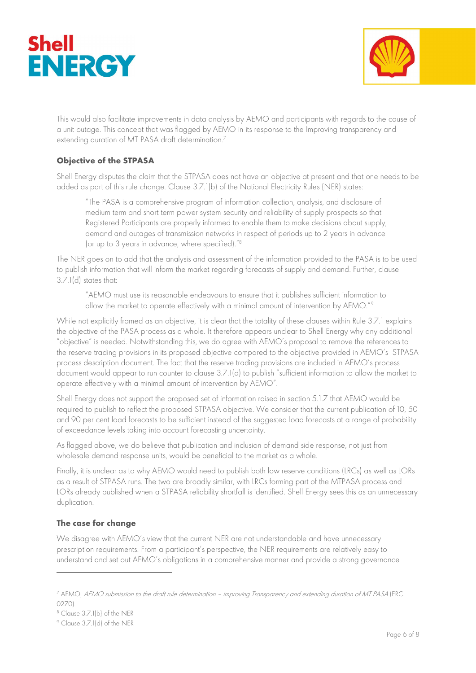



This would also facilitate improvements in data analysis by AEMO and participants with regards to the cause of a unit outage. This concept that was flagged by AEMO in its response to the Improving transparency and extending duration of MT PASA draft determination.<sup>7</sup>

# Objective of the STPASA

Shell Energy disputes the claim that the STPASA does not have an objective at present and that one needs to be added as part of this rule change. Clause 3.7.1(b) of the National Electricity Rules (NER) states:

"The PASA is a comprehensive program of information collection, analysis, and disclosure of medium term and short term power system security and reliability of supply prospects so that Registered Participants are properly informed to enable them to make decisions about supply, demand and outages of transmission networks in respect of periods up to 2 years in advance (or up to 3 years in advance, where specified)."<sup>8</sup>

The NER goes on to add that the analysis and assessment of the information provided to the PASA is to be used to publish information that will inform the market regarding forecasts of supply and demand. Further, clause 3.7.1(d) states that:

"AEMO must use its reasonable endeavours to ensure that it publishes sufficient information to allow the market to operate effectively with a minimal amount of intervention by AEMO."<sup>9</sup>

While not explicitly framed as an objective, it is clear that the totality of these clauses within Rule 3.7.1 explains the objective of the PASA process as a whole. It therefore appears unclear to Shell Energy why any additional "objective" is needed. Notwithstanding this, we do agree with AEMO's proposal to remove the references to the reserve trading provisions in its proposed objective compared to the objective provided in AEMO's STPASA process description document. The fact that the reserve trading provisions are included in AEMO's process document would appear to run counter to clause 3.7.1(d) to publish "sufficient information to allow the market to operate effectively with a minimal amount of intervention by AEMO".

Shell Energy does not support the proposed set of information raised in section 5.1.7 that AEMO would be required to publish to reflect the proposed STPASA objective. We consider that the current publication of 10, 50 and 90 per cent load forecasts to be sufficient instead of the suggested load forecasts at a range of probability of exceedance levels taking into account forecasting uncertainty.

As flagged above, we do believe that publication and inclusion of demand side response, not just from wholesale demand response units, would be beneficial to the market as a whole.

Finally, it is unclear as to why AEMO would need to publish both low reserve conditions (LRCs) as well as LORs as a result of STPASA runs. The two are broadly similar, with LRCs forming part of the MTPASA process and LORs already published when a STPASA reliability shortfall is identified. Shell Energy sees this as an unnecessary duplication.

# The case for change

We disagree with AEMO's view that the current NER are not understandable and have unnecessary prescription requirements. From a participant's perspective, the NER requirements are relatively easy to understand and set out AEMO's obligations in a comprehensive manner and provide a strong governance

<sup>7</sup> AEMO, AEMO submission to the draft rule determination – improving Transparency and extending duration of MT PASA (ERC  $(270)$ 

<sup>8</sup> Clause 3.7.1(b) of the NER

<sup>9</sup> Clause 3.7.1(d) of the NER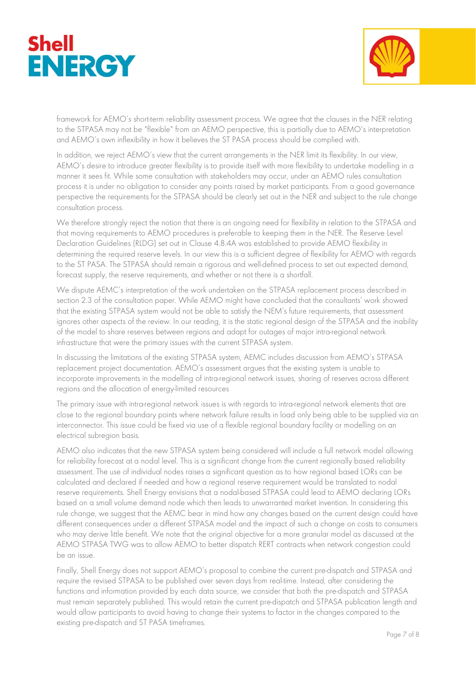



framework for AEMO's short-term reliability assessment process. We agree that the clauses in the NER relating to the STPASA may not be "flexible" from an AEMO perspective, this is partially due to AEMO's interpretation and AEMO's own inflexibility in how it believes the ST PASA process should be complied with.

In addition, we reject AEMO's view that the current arrangements in the NER limit its flexibility. In our view, AEMO's desire to introduce greater flexibility is to provide itself with more flexibility to undertake modelling in a manner it sees fit. While some consultation with stakeholders may occur, under an AEMO rules consultation process it is under no obligation to consider any points raised by market participants. From a good governance perspective the requirements for the STPASA should be clearly set out in the NER and subject to the rule change consultation process.

We therefore strongly reject the notion that there is an ongoing need for flexibility in relation to the STPASA and that moving requirements to AEMO procedures is preferable to keeping them in the NER. The Reserve Level Declaration Guidelines (RLDG) set out in Clause 4.8.4A was established to provide AEMO flexibility in determining the required reserve levels. In our view this is a sufficient degree of flexibility for AEMO with regards to the ST PASA. The STPASA should remain a rigorous and well-defined process to set out expected demand, forecast supply, the reserve requirements, and whether or not there is a shortfall.

We dispute AEMC's interpretation of the work undertaken on the STPASA replacement process described in section 2.3 of the consultation paper. While AEMO might have concluded that the consultants' work showed that the existing STPASA system would not be able to satisfy the NEM's future requirements, that assessment ignores other aspects of the review. In our reading, it is the static regional design of the STPASA and the inability of the model to share reserves between regions and adapt for outages of major intra-regional network infrastructure that were the primary issues with the current STPASA system.

In discussing the limitations of the existing STPASA system, AEMC includes discussion from AEMO's STPASA replacement project documentation. AEMO's assessment argues that the existing system is unable to incorporate improvements in the modelling of intra-regional network issues, sharing of reserves across different regions and the allocation of energy-limited resources

The primary issue with intra-regional network issues is with regards to intra-regional network elements that are close to the regional boundary points where network failure results in load only being able to be supplied via an interconnector. This issue could be fixed via use of a flexible regional boundary facility or modelling on an electrical subregion basis.

AEMO also indicates that the new STPASA system being considered will include a full network model allowing for reliability forecast at a nodal level. This is a significant change from the current regionally based reliability assessment. The use of individual nodes raises a significant question as to how regional based LORs can be calculated and declared if needed and how a regional reserve requirement would be translated to nodal reserve requirements. Shell Energy envisions that a nodal-based STPASA could lead to AEMO declaring LORs based on a small volume demand node which then leads to unwarranted market invention. In considering this rule change, we suggest that the AEMC bear in mind how any changes based on the current design could have different consequences under a different STPASA model and the impact of such a change on costs to consumers who may derive little benefit. We note that the original objective for a more granular model as discussed at the AEMO STPASA TWG was to allow AEMO to better dispatch RERT contracts when network congestion could be an issue.

Finally, Shell Energy does not support AEMO's proposal to combine the current pre-dispatch and STPASA and require the revised STPASA to be published over seven days from real-time. Instead, after considering the functions and information provided by each data source, we consider that both the pre-dispatch and STPASA must remain separately published. This would retain the current pre-dispatch and STPASA publication length and would allow participants to avoid having to change their systems to factor in the changes compared to the existing pre-dispatch and ST PASA timeframes.